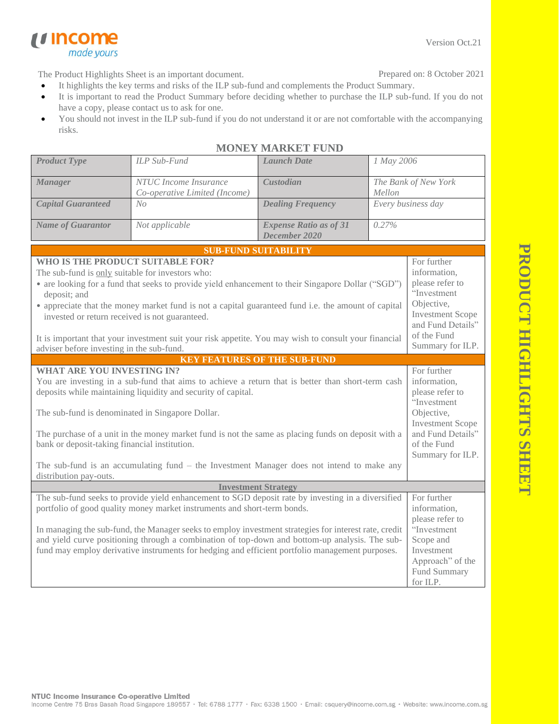Version Oct.21

The Product Highlights Sheet is an important document.

*u* income

made yours

Prepared on: 8 October 2021

- It highlights the key terms and risks of the ILP sub-fund and complements the Product Summary.
- It is important to read the Product Summary before deciding whether to purchase the ILP sub-fund. If you do not have a copy, please contact us to ask for one.
- You should not invest in the ILP sub-fund if you do not understand it or are not comfortable with the accompanying risks.

| <b>Product Type</b>                                                                                                                                                                                                                                                                                                                                                                                                                                                                                                                         | ILP Sub-Fund                                           | <b>Launch Date</b>                             | 1 May 2006                                                                                                                                                     |                                                                                                                                          |  |
|---------------------------------------------------------------------------------------------------------------------------------------------------------------------------------------------------------------------------------------------------------------------------------------------------------------------------------------------------------------------------------------------------------------------------------------------------------------------------------------------------------------------------------------------|--------------------------------------------------------|------------------------------------------------|----------------------------------------------------------------------------------------------------------------------------------------------------------------|------------------------------------------------------------------------------------------------------------------------------------------|--|
| <b>Manager</b>                                                                                                                                                                                                                                                                                                                                                                                                                                                                                                                              | NTUC Income Insurance<br>Co-operative Limited (Income) | Custodian                                      | The Bank of New York<br>Mellon                                                                                                                                 |                                                                                                                                          |  |
| <b>Capital Guaranteed</b>                                                                                                                                                                                                                                                                                                                                                                                                                                                                                                                   | N <sub>O</sub>                                         | <b>Dealing Frequency</b>                       | Every business day                                                                                                                                             |                                                                                                                                          |  |
| <b>Name of Guarantor</b>                                                                                                                                                                                                                                                                                                                                                                                                                                                                                                                    | Not applicable                                         | <b>Expense Ratio as of 31</b><br>December 2020 | 0.27%                                                                                                                                                          |                                                                                                                                          |  |
|                                                                                                                                                                                                                                                                                                                                                                                                                                                                                                                                             |                                                        | <b>SUB-FUND SUITABILITY</b>                    |                                                                                                                                                                |                                                                                                                                          |  |
| WHO IS THE PRODUCT SUITABLE FOR?<br>The sub-fund is only suitable for investors who:<br>• are looking for a fund that seeks to provide yield enhancement to their Singapore Dollar ("SGD")<br>deposit; and<br>• appreciate that the money market fund is not a capital guaranteed fund i.e. the amount of capital<br>invested or return received is not guaranteed.<br>It is important that your investment suit your risk appetite. You may wish to consult your financial                                                                 |                                                        |                                                | For further<br>information,<br>please refer to<br>"Investment<br>Objective,<br><b>Investment Scope</b><br>and Fund Details"<br>of the Fund                     |                                                                                                                                          |  |
| adviser before investing in the sub-fund.                                                                                                                                                                                                                                                                                                                                                                                                                                                                                                   |                                                        |                                                |                                                                                                                                                                | Summary for ILP.                                                                                                                         |  |
|                                                                                                                                                                                                                                                                                                                                                                                                                                                                                                                                             |                                                        | <b>KEY FEATURES OF THE SUB-FUND</b>            |                                                                                                                                                                |                                                                                                                                          |  |
| <b>WHAT ARE YOU INVESTING IN?</b><br>You are investing in a sub-fund that aims to achieve a return that is better than short-term cash<br>deposits while maintaining liquidity and security of capital.<br>The sub-fund is denominated in Singapore Dollar.<br>The purchase of a unit in the money market fund is not the same as placing funds on deposit with a<br>bank or deposit-taking financial institution.<br>The sub-fund is an accumulating fund $-$ the Investment Manager does not intend to make any<br>distribution pay-outs. |                                                        |                                                | For further<br>information,<br>please refer to<br>"Investment<br>Objective,<br><b>Investment Scope</b><br>and Fund Details"<br>of the Fund<br>Summary for ILP. |                                                                                                                                          |  |
| <b>Investment Strategy</b>                                                                                                                                                                                                                                                                                                                                                                                                                                                                                                                  |                                                        |                                                |                                                                                                                                                                |                                                                                                                                          |  |
| The sub-fund seeks to provide yield enhancement to SGD deposit rate by investing in a diversified<br>portfolio of good quality money market instruments and short-term bonds.<br>In managing the sub-fund, the Manager seeks to employ investment strategies for interest rate, credit<br>and yield curve positioning through a combination of top-down and bottom-up analysis. The sub-<br>fund may employ derivative instruments for hedging and efficient portfolio management purposes.                                                 |                                                        |                                                |                                                                                                                                                                | For further<br>information,<br>please refer to<br>"Investment<br>Scope and<br>Investment<br>Approach" of the<br>Fund Summary<br>for ILP. |  |

## **MONEY MARKET FUND**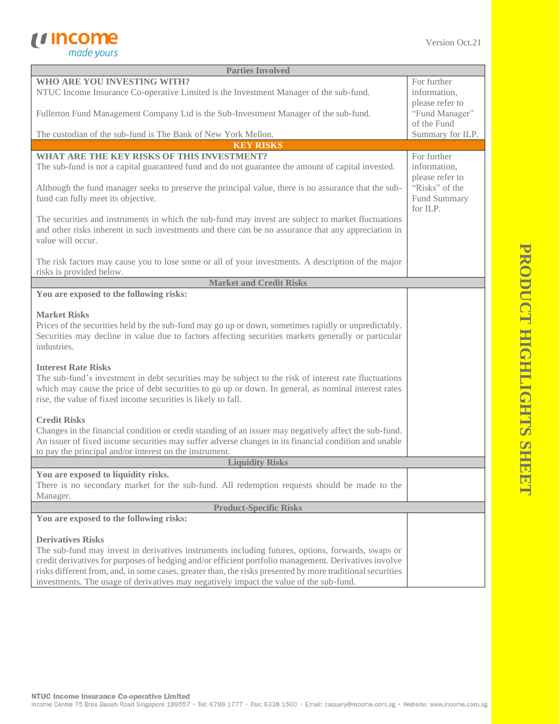

| <b>Parties Involved</b>                                                                                                                                                                                                                                                                                                                              |                                                |  |  |
|------------------------------------------------------------------------------------------------------------------------------------------------------------------------------------------------------------------------------------------------------------------------------------------------------------------------------------------------------|------------------------------------------------|--|--|
| WHO ARE YOU INVESTING WITH?<br>NTUC Income Insurance Co-operative Limited is the Investment Manager of the sub-fund.                                                                                                                                                                                                                                 | For further<br>information,                    |  |  |
| Fullerton Fund Management Company Ltd is the Sub-Investment Manager of the sub-fund.                                                                                                                                                                                                                                                                 | please refer to<br>"Fund Manager"              |  |  |
| The custodian of the sub-fund is The Bank of New York Mellon.                                                                                                                                                                                                                                                                                        | of the Fund<br>Summary for ILP.                |  |  |
| <b>KEY RISKS</b>                                                                                                                                                                                                                                                                                                                                     |                                                |  |  |
| WHAT ARE THE KEY RISKS OF THIS INVESTMENT?<br>The sub-fund is not a capital guaranteed fund and do not guarantee the amount of capital invested.                                                                                                                                                                                                     | For further<br>information,<br>please refer to |  |  |
| Although the fund manager seeks to preserve the principal value, there is no assurance that the sub-<br>fund can fully meet its objective.                                                                                                                                                                                                           | "Risks" of the<br>Fund Summary                 |  |  |
| for ILP.<br>The securities and instruments in which the sub-fund may invest are subject to market fluctuations<br>and other risks inherent in such investments and there can be no assurance that any appreciation in<br>value will occur.                                                                                                           |                                                |  |  |
| The risk factors may cause you to lose some or all of your investments. A description of the major<br>risks is provided below.                                                                                                                                                                                                                       |                                                |  |  |
| <b>Market and Credit Risks</b>                                                                                                                                                                                                                                                                                                                       |                                                |  |  |
| You are exposed to the following risks:                                                                                                                                                                                                                                                                                                              |                                                |  |  |
| <b>Market Risks</b><br>Prices of the securities held by the sub-fund may go up or down, sometimes rapidly or unpredictably.<br>Securities may decline in value due to factors affecting securities markets generally or particular<br>industries.                                                                                                    |                                                |  |  |
| <b>Interest Rate Risks</b><br>The sub-fund's investment in debt securities may be subject to the risk of interest rate fluctuations<br>which may cause the price of debt securities to go up or down. In general, as nominal interest rates<br>rise, the value of fixed income securities is likely to fall.                                         |                                                |  |  |
| <b>Credit Risks</b><br>Changes in the financial condition or credit standing of an issuer may negatively affect the sub-fund.<br>An issuer of fixed income securities may suffer adverse changes in its financial condition and unable<br>to pay the principal and/or interest on the instrument.                                                    |                                                |  |  |
| <b>Liquidity Risks</b>                                                                                                                                                                                                                                                                                                                               |                                                |  |  |
| You are exposed to liquidity risks.<br>There is no secondary market for the sub-fund. All redemption requests should be made to the<br>Manager.                                                                                                                                                                                                      |                                                |  |  |
| <b>Product-Specific Risks</b>                                                                                                                                                                                                                                                                                                                        |                                                |  |  |
| You are exposed to the following risks:                                                                                                                                                                                                                                                                                                              |                                                |  |  |
| <b>Derivatives Risks</b><br>The sub-fund may invest in derivatives instruments including futures, options, forwards, swaps or<br>credit derivatives for purposes of hedging and/or efficient portfolio management. Derivatives involve<br>risks different from, and, in some cases, greater than, the risks presented by more traditional securities |                                                |  |  |
| investments. The usage of derivatives may negatively impact the value of the sub-fund.                                                                                                                                                                                                                                                               |                                                |  |  |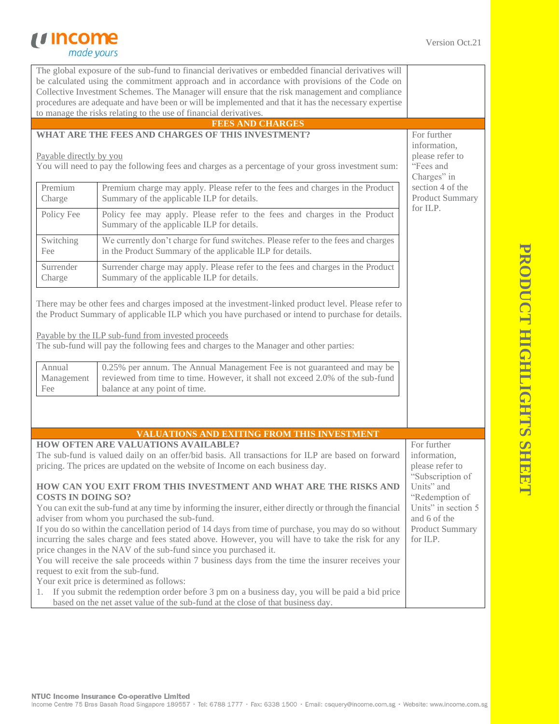## *<u>Income</u>*<br> *made yours*

| The global exposure of the sub-fund to financial derivatives or embedded financial derivatives will                             |                                                                                                                                                |                        |  |  |
|---------------------------------------------------------------------------------------------------------------------------------|------------------------------------------------------------------------------------------------------------------------------------------------|------------------------|--|--|
| be calculated using the commitment approach and in accordance with provisions of the Code on                                    |                                                                                                                                                |                        |  |  |
| Collective Investment Schemes. The Manager will ensure that the risk management and compliance                                  |                                                                                                                                                |                        |  |  |
| procedures are adequate and have been or will be implemented and that it has the necessary expertise                            |                                                                                                                                                |                        |  |  |
|                                                                                                                                 | to manage the risks relating to the use of financial derivatives.                                                                              |                        |  |  |
|                                                                                                                                 | <b>FEES AND CHARGES</b>                                                                                                                        |                        |  |  |
|                                                                                                                                 | WHAT ARE THE FEES AND CHARGES OF THIS INVESTMENT?                                                                                              | For further            |  |  |
|                                                                                                                                 |                                                                                                                                                | information,           |  |  |
|                                                                                                                                 | Payable directly by you<br>please refer to                                                                                                     |                        |  |  |
|                                                                                                                                 | You will need to pay the following fees and charges as a percentage of your gross investment sum:                                              | "Fees and              |  |  |
|                                                                                                                                 |                                                                                                                                                | Charges" in            |  |  |
| Premium                                                                                                                         | Premium charge may apply. Please refer to the fees and charges in the Product                                                                  | section 4 of the       |  |  |
| Charge                                                                                                                          | Summary of the applicable ILP for details.                                                                                                     | <b>Product Summary</b> |  |  |
| Policy Fee                                                                                                                      | Policy fee may apply. Please refer to the fees and charges in the Product                                                                      | for ILP.               |  |  |
|                                                                                                                                 | Summary of the applicable ILP for details.                                                                                                     |                        |  |  |
|                                                                                                                                 |                                                                                                                                                |                        |  |  |
| Switching                                                                                                                       | We currently don't charge for fund switches. Please refer to the fees and charges<br>in the Product Summary of the applicable ILP for details. |                        |  |  |
| Fee                                                                                                                             |                                                                                                                                                |                        |  |  |
| Surrender                                                                                                                       | Surrender charge may apply. Please refer to the fees and charges in the Product                                                                |                        |  |  |
| Charge                                                                                                                          | Summary of the applicable ILP for details.                                                                                                     |                        |  |  |
|                                                                                                                                 |                                                                                                                                                |                        |  |  |
|                                                                                                                                 | There may be other fees and charges imposed at the investment-linked product level. Please refer to                                            |                        |  |  |
|                                                                                                                                 | the Product Summary of applicable ILP which you have purchased or intend to purchase for details.                                              |                        |  |  |
|                                                                                                                                 |                                                                                                                                                |                        |  |  |
|                                                                                                                                 | Payable by the ILP sub-fund from invested proceeds                                                                                             |                        |  |  |
|                                                                                                                                 | The sub-fund will pay the following fees and charges to the Manager and other parties:                                                         |                        |  |  |
|                                                                                                                                 |                                                                                                                                                |                        |  |  |
| Annual                                                                                                                          | 0.25% per annum. The Annual Management Fee is not guaranteed and may be                                                                        |                        |  |  |
| Management                                                                                                                      | reviewed from time to time. However, it shall not exceed 2.0% of the sub-fund                                                                  |                        |  |  |
| Fee                                                                                                                             | balance at any point of time.                                                                                                                  |                        |  |  |
|                                                                                                                                 |                                                                                                                                                |                        |  |  |
|                                                                                                                                 |                                                                                                                                                |                        |  |  |
|                                                                                                                                 |                                                                                                                                                |                        |  |  |
|                                                                                                                                 | VALUATIONS AND EXITING FROM THIS INVESTMENT                                                                                                    |                        |  |  |
|                                                                                                                                 | <b>HOW OFTEN ARE VALUATIONS AVAILABLE?</b>                                                                                                     | For further            |  |  |
|                                                                                                                                 | The sub-fund is valued daily on an offer/bid basis. All transactions for ILP are based on forward                                              | information,           |  |  |
|                                                                                                                                 | pricing. The prices are updated on the website of Income on each business day.                                                                 | please refer to        |  |  |
|                                                                                                                                 |                                                                                                                                                | "Subscription of       |  |  |
| Units" and<br>HOW CAN YOU EXIT FROM THIS INVESTMENT AND WHAT ARE THE RISKS AND                                                  |                                                                                                                                                |                        |  |  |
| <b>COSTS IN DOING SO?</b>                                                                                                       |                                                                                                                                                | "Redemption of         |  |  |
| Units" in section 5<br>You can exit the sub-fund at any time by informing the insurer, either directly or through the financial |                                                                                                                                                |                        |  |  |
| adviser from whom you purchased the sub-fund.<br>and 6 of the                                                                   |                                                                                                                                                |                        |  |  |
|                                                                                                                                 | If you do so within the cancellation period of 14 days from time of purchase, you may do so without                                            | <b>Product Summary</b> |  |  |
|                                                                                                                                 | incurring the sales charge and fees stated above. However, you will have to take the risk for any<br>for ILP.                                  |                        |  |  |
| price changes in the NAV of the sub-fund since you purchased it.                                                                |                                                                                                                                                |                        |  |  |
|                                                                                                                                 | You will receive the sale proceeds within 7 business days from the time the insurer receives your                                              |                        |  |  |
| request to exit from the sub-fund.                                                                                              |                                                                                                                                                |                        |  |  |
| Your exit price is determined as follows:                                                                                       |                                                                                                                                                |                        |  |  |
| 1. If you submit the redemption order before 3 pm on a business day, you will be paid a bid price                               |                                                                                                                                                |                        |  |  |
| based on the net asset value of the sub-fund at the close of that business day.                                                 |                                                                                                                                                |                        |  |  |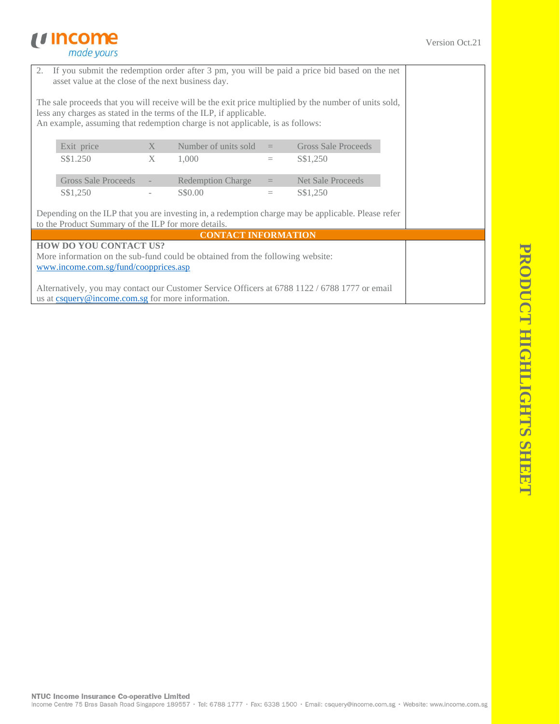## *<u>Income</u>*<br> *made yours*

|                                                                                                                                                                                                                                                               | 2. If you submit the redemption order after 3 pm, you will be paid a price bid based on the net<br>asset value at the close of the next business day. |   |                            |          |                            |  |
|---------------------------------------------------------------------------------------------------------------------------------------------------------------------------------------------------------------------------------------------------------------|-------------------------------------------------------------------------------------------------------------------------------------------------------|---|----------------------------|----------|----------------------------|--|
| The sale proceeds that you will receive will be the exit price multiplied by the number of units sold,<br>less any charges as stated in the terms of the ILP, if applicable.<br>An example, assuming that redemption charge is not applicable, is as follows: |                                                                                                                                                       |   |                            |          |                            |  |
|                                                                                                                                                                                                                                                               | Exit price                                                                                                                                            | X | Number of units sold       | $=$      | <b>Gross Sale Proceeds</b> |  |
|                                                                                                                                                                                                                                                               | S\$1.250                                                                                                                                              | X | 1,000                      | $\equiv$ | S\$1,250                   |  |
|                                                                                                                                                                                                                                                               | <b>Gross Sale Proceeds</b>                                                                                                                            |   | <b>Redemption Charge</b>   | $=$      | <b>Net Sale Proceeds</b>   |  |
|                                                                                                                                                                                                                                                               | S\$1,250                                                                                                                                              |   | S\$0.00                    | $\equiv$ | S\$1,250                   |  |
| Depending on the ILP that you are investing in, a redemption charge may be applicable. Please refer<br>to the Product Summary of the ILP for more details.                                                                                                    |                                                                                                                                                       |   |                            |          |                            |  |
|                                                                                                                                                                                                                                                               |                                                                                                                                                       |   | <b>CONTACT INFORMATION</b> |          |                            |  |
|                                                                                                                                                                                                                                                               | <b>HOW DO YOU CONTACT US?</b>                                                                                                                         |   |                            |          |                            |  |
| More information on the sub-fund could be obtained from the following website:                                                                                                                                                                                |                                                                                                                                                       |   |                            |          |                            |  |
|                                                                                                                                                                                                                                                               | www.income.com.sg/fund/coopprices.asp                                                                                                                 |   |                            |          |                            |  |
| Alternatively, you may contact our Customer Service Officers at 6788 1122 / 6788 1777 or email<br>us at csquery@income.com.sg for more information.                                                                                                           |                                                                                                                                                       |   |                            |          |                            |  |